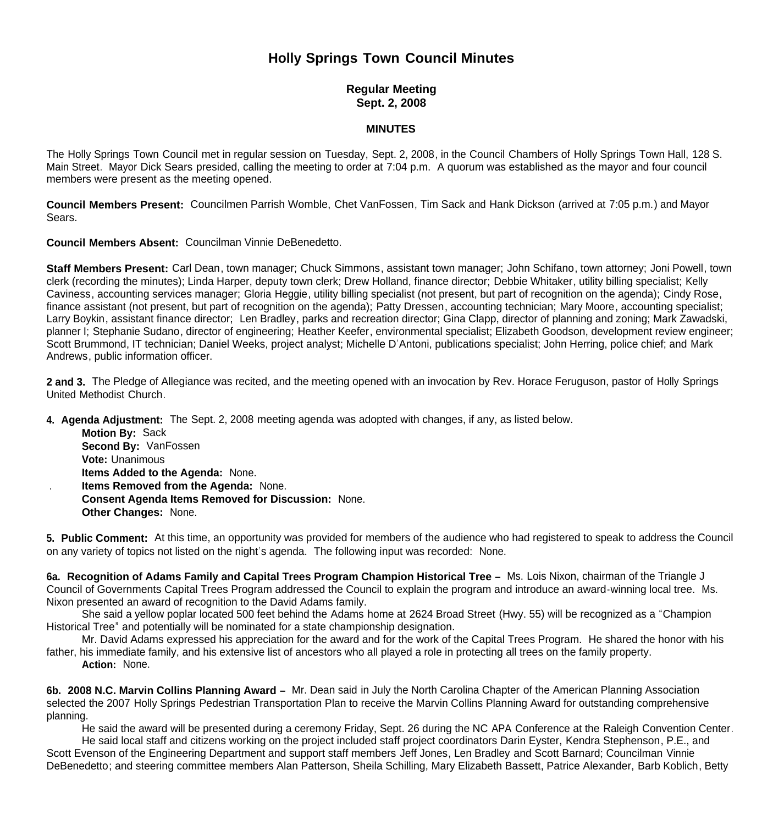# **Holly Springs Town Council Minutes**

## **Regular Meeting Sept. 2, 2008**

### **MINUTES**

The Holly Springs Town Council met in regular session on Tuesday, Sept. 2, 2008, in the Council Chambers of Holly Springs Town Hall, 128 S. Main Street. Mayor Dick Sears presided, calling the meeting to order at 7:04 p.m. A quorum was established as the mayor and four council members were present as the meeting opened.

**Council Members Present:** Councilmen Parrish Womble, Chet VanFossen, Tim Sack and Hank Dickson (arrived at 7:05 p.m.) and Mayor Sears.

**Council Members Absent:** Councilman Vinnie DeBenedetto.

**Staff Members Present:** Carl Dean, town manager; Chuck Simmons, assistant town manager; John Schifano, town attorney; Joni Powell, town clerk (recording the minutes); Linda Harper, deputy town clerk; Drew Holland, finance director; Debbie Whitaker, utility billing specialist; Kelly Caviness, accounting services manager; Gloria Heggie, utility billing specialist (not present, but part of recognition on the agenda); Cindy Rose, finance assistant (not present, but part of recognition on the agenda); Patty Dressen, accounting technician; Mary Moore, accounting specialist; Larry Boykin, assistant finance director; Len Bradley, parks and recreation director; Gina Clapp, director of planning and zoning; Mark Zawadski, planner I; Stephanie Sudano, director of engineering; Heather Keefer, environmental specialist; Elizabeth Goodson, development review engineer; Scott Brummond, IT technician; Daniel Weeks, project analyst; Michelle D'Antoni, publications specialist; John Herring, police chief; and Mark Andrews, public information officer.

**2 and 3.** The Pledge of Allegiance was recited, and the meeting opened with an invocation by Rev. Horace Feruguson, pastor of Holly Springs United Methodist Church.

**4. Agenda Adjustment:** The Sept. 2, 2008 meeting agenda was adopted with changes, if any, as listed below.

 **Motion By:** Sack **Second By:** VanFossen **Vote:** Unanimous **Items Added to the Agenda:** None. . **Items Removed from the Agenda:** None. **Consent Agenda Items Removed for Discussion:** None. **Other Changes:** None.

**5. Public Comment:** At this time, an opportunity was provided for members of the audience who had registered to speak to address the Council on any variety of topics not listed on the night's agenda. The following input was recorded: None.

**6a. Recognition of Adams Family and Capital Trees Program Champion Historical Tree –** Ms. Lois Nixon, chairman of the Triangle J Council of Governments Capital Trees Program addressed the Council to explain the program and introduce an award-winning local tree. Ms. Nixon presented an award of recognition to the David Adams family.

 She said a yellow poplar located 500 feet behind the Adams home at 2624 Broad Street (Hwy. 55) will be recognized as a "Champion Historical Tree" and potentially will be nominated for a state championship designation.

 Mr. David Adams expressed his appreciation for the award and for the work of the Capital Trees Program. He shared the honor with his father, his immediate family, and his extensive list of ancestors who all played a role in protecting all trees on the family property.  **Action:** None.

**6b. 2008 N.C. Marvin Collins Planning Award –** Mr. Dean said in July the North Carolina Chapter of the American Planning Association selected the 2007 Holly Springs Pedestrian Transportation Plan to receive the Marvin Collins Planning Award for outstanding comprehensive planning.

He said the award will be presented during a ceremony Friday, Sept. 26 during the NC APA Conference at the Raleigh Convention Center.

 He said local staff and citizens working on the project included staff project coordinators Darin Eyster, Kendra Stephenson, P.E., and Scott Evenson of the Engineering Department and support staff members Jeff Jones, Len Bradley and Scott Barnard; Councilman Vinnie DeBenedetto; and steering committee members Alan Patterson, Sheila Schilling, Mary Elizabeth Bassett, Patrice Alexander, Barb Koblich, Betty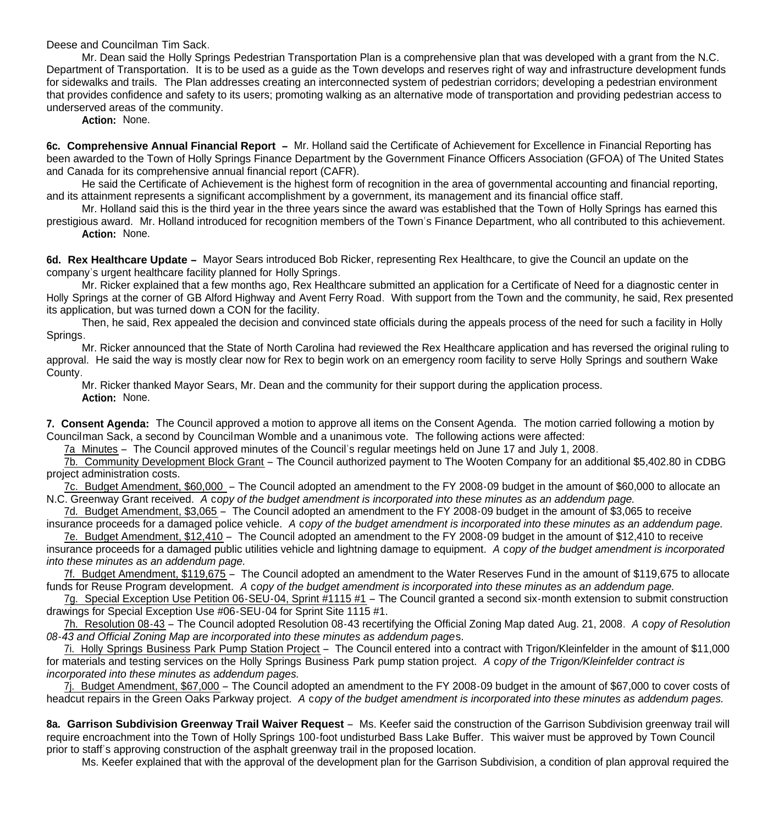Deese and Councilman Tim Sack.

 Mr. Dean said the Holly Springs Pedestrian Transportation Plan is a comprehensive plan that was developed with a grant from the N.C. Department of Transportation. It is to be used as a guide as the Town develops and reserves right of way and infrastructure development funds for sidewalks and trails. The Plan addresses creating an interconnected system of pedestrian corridors; developing a pedestrian environment that provides confidence and safety to its users; promoting walking as an alternative mode of transportation and providing pedestrian access to underserved areas of the community.

 **Action:** None.

**6c. Comprehensive Annual Financial Report –** Mr. Holland said the Certificate of Achievement for Excellence in Financial Reporting has been awarded to the Town of Holly Springs Finance Department by the Government Finance Officers Association (GFOA) of The United States and Canada for its comprehensive annual financial report (CAFR).

 He said the Certificate of Achievement is the highest form of recognition in the area of governmental accounting and financial reporting, and its attainment represents a significant accomplishment by a government, its management and its financial office staff.

 Mr. Holland said this is the third year in the three years since the award was established that the Town of Holly Springs has earned this prestigious award. Mr. Holland introduced for recognition members of the Town's Finance Department, who all contributed to this achievement.  **Action:** None.

**6d. Rex Healthcare Update –** Mayor Sears introduced Bob Ricker, representing Rex Healthcare, to give the Council an update on the company's urgent healthcare facility planned for Holly Springs.

 Mr. Ricker explained that a few months ago, Rex Healthcare submitted an application for a Certificate of Need for a diagnostic center in Holly Springs at the corner of GB Alford Highway and Avent Ferry Road. With support from the Town and the community, he said, Rex presented its application, but was turned down a CON for the facility.

Then, he said, Rex appealed the decision and convinced state officials during the appeals process of the need for such a facility in Holly Springs.

Mr. Ricker announced that the State of North Carolina had reviewed the Rex Healthcare application and has reversed the original ruling to approval. He said the way is mostly clear now for Rex to begin work on an emergency room facility to serve Holly Springs and southern Wake County.

 Mr. Ricker thanked Mayor Sears, Mr. Dean and the community for their support during the application process. **Action:** None.

**7. Consent Agenda:** The Council approved a motion to approve all items on the Consent Agenda. The motion carried following a motion by Councilman Sack, a second by Councilman Womble and a unanimous vote. The following actions were affected:

7a Minutes – The Council approved minutes of the Council's regular meetings held on June 17 and July 1, 2008.

7b. Community Development Block Grant – The Council authorized payment to The Wooten Company for an additional \$5,402.80 in CDBG project administration costs.

7c. Budget Amendment, \$60,000 – The Council adopted an amendment to the FY 2008-09 budget in the amount of \$60,000 to allocate an N.C. Greenway Grant received. *A* c*opy of the budget amendment is incorporated into these minutes as an addendum page.*

7d. Budget Amendment, \$3,065 – The Council adopted an amendment to the FY 2008-09 budget in the amount of \$3,065 to receive insurance proceeds for a damaged police vehicle. *A* c*opy of the budget amendment is incorporated into these minutes as an addendum page.*

7e. Budget Amendment, \$12,410 – The Council adopted an amendment to the FY 2008-09 budget in the amount of \$12,410 to receive insurance proceeds for a damaged public utilities vehicle and lightning damage to equipment. *A* c*opy of the budget amendment is incorporated into these minutes as an addendum page.*

7f. Budget Amendment, \$119,675 – The Council adopted an amendment to the Water Reserves Fund in the amount of \$119,675 to allocate funds for Reuse Program development. *A* c*opy of the budget amendment is incorporated into these minutes as an addendum page.*

 7g. Special Exception Use Petition 06-SEU-04, Sprint #1115 #1 – The Council granted a second six-month extension to submit construction drawings for Special Exception Use #06-SEU-04 for Sprint Site 1115 #1.

 7h. Resolution 08-43 – The Council adopted Resolution 08-43 recertifying the Official Zoning Map dated Aug. 21, 2008. *A* c*opy of Resolution 08-43 and Official Zoning Map are incorporated into these minutes as addendum page*s.

 7i. Holly Springs Business Park Pump Station Project – The Council entered into a contract with Trigon/Kleinfelder in the amount of \$11,000 for materials and testing services on the Holly Springs Business Park pump station project. *A* c*opy of the Trigon/Kleinfelder contract is incorporated into these minutes as addendum pages.*

7j. Budget Amendment, \$67,000 – The Council adopted an amendment to the FY 2008-09 budget in the amount of \$67,000 to cover costs of headcut repairs in the Green Oaks Parkway project. *A* c*opy of the budget amendment is incorporated into these minutes as addendum pages.*

**8a. Garrison Subdivision Greenway Trail Waiver Request** – Ms. Keefer said the construction of the Garrison Subdivision greenway trail will require encroachment into the Town of Holly Springs 100-foot undisturbed Bass Lake Buffer. This waiver must be approved by Town Council prior to staff's approving construction of the asphalt greenway trail in the proposed location.

Ms. Keefer explained that with the approval of the development plan for the Garrison Subdivision, a condition of plan approval required the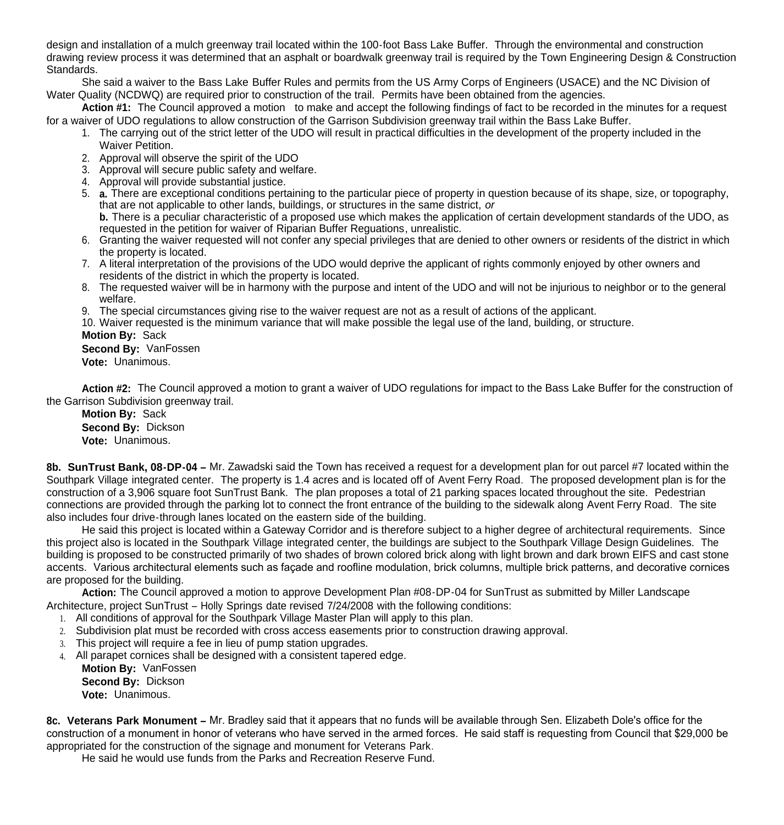design and installation of a mulch greenway trail located within the 100-foot Bass Lake Buffer. Through the environmental and construction drawing review process it was determined that an asphalt or boardwalk greenway trail is required by the Town Engineering Design & Construction Standards.

 She said a waiver to the Bass Lake Buffer Rules and permits from the US Army Corps of Engineers (USACE) and the NC Division of Water Quality (NCDWQ) are required prior to construction of the trail. Permits have been obtained from the agencies.

**Action #1:** The Council approved a motion to make and accept the following findings of fact to be recorded in the minutes for a request for a waiver of UDO regulations to allow construction of the Garrison Subdivision greenway trail within the Bass Lake Buffer.

- 1. The carrying out of the strict letter of the UDO will result in practical difficulties in the development of the property included in the Waiver Petition.
- 2. Approval will observe the spirit of the UDO
- 3. Approval will secure public safety and welfare.
- 4. Approval will provide substantial justice.
- 5. **a.** There are exceptional conditions pertaining to the particular piece of property in question because of its shape, size, or topography, that are not applicable to other lands, buildings, or structures in the same district, *or*

**b.** There is a peculiar characteristic of a proposed use which makes the application of certain development standards of the UDO, as requested in the petition for waiver of Riparian Buffer Reguations, unrealistic.

- 6. Granting the waiver requested will not confer any special privileges that are denied to other owners or residents of the district in which the property is located.
- 7. A literal interpretation of the provisions of the UDO would deprive the applicant of rights commonly enjoyed by other owners and residents of the district in which the property is located.
- 8. The requested waiver will be in harmony with the purpose and intent of the UDO and will not be injurious to neighbor or to the general welfare.
- 9. The special circumstances giving rise to the waiver request are not as a result of actions of the applicant.
- 10. Waiver requested is the minimum variance that will make possible the legal use of the land, building, or structure.

**Motion By:** Sack

**Second By:** VanFossen

**Vote:** Unanimous.

**Action #2:** The Council approved a motion to grant a waiver of UDO regulations for impact to the Bass Lake Buffer for the construction of the Garrison Subdivision greenway trail.

**Motion By:** Sack **Second By:** Dickson **Vote:** Unanimous.

**8b. SunTrust Bank, 08-DP-04 –** Mr. Zawadski said the Town has received a request for a development plan for out parcel #7 located within the Southpark Village integrated center. The property is 1.4 acres and is located off of Avent Ferry Road. The proposed development plan is for the construction of a 3,906 square foot SunTrust Bank. The plan proposes a total of 21 parking spaces located throughout the site. Pedestrian connections are provided through the parking lot to connect the front entrance of the building to the sidewalk along Avent Ferry Road. The site also includes four drive-through lanes located on the eastern side of the building.

He said this project is located within a Gateway Corridor and is therefore subject to a higher degree of architectural requirements. Since this project also is located in the Southpark Village integrated center, the buildings are subject to the Southpark Village Design Guidelines. The building is proposed to be constructed primarily of two shades of brown colored brick along with light brown and dark brown EIFS and cast stone accents. Various architectural elements such as façade and roofline modulation, brick columns, multiple brick patterns, and decorative cornices are proposed for the building.

**Action:** The Council approved a motion to approve Development Plan #08-DP-04 for SunTrust as submitted by Miller Landscape Architecture, project SunTrust – Holly Springs date revised 7/24/2008 with the following conditions:

- 1. All conditions of approval for the Southpark Village Master Plan will apply to this plan.
- 2. Subdivision plat must be recorded with cross access easements prior to construction drawing approval.
- 3. This project will require a fee in lieu of pump station upgrades.
- 4. All parapet cornices shall be designed with a consistent tapered edge.

**Motion By:** VanFossen **Second By:** Dickson **Vote:** Unanimous.

**8c. Veterans Park Monument –** Mr. Bradley said that it appears that no funds will be available through Sen. Elizabeth Dole's office for the construction of a monument in honor of veterans who have served in the armed forces. He said staff is requesting from Council that \$29,000 be appropriated for the construction of the signage and monument for Veterans Park.

He said he would use funds from the Parks and Recreation Reserve Fund.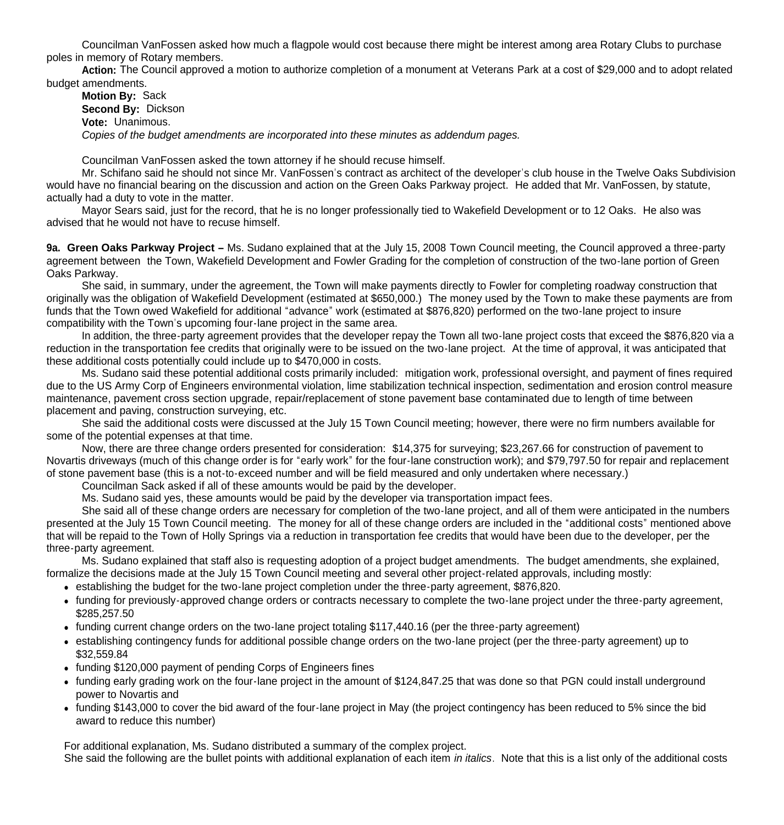Councilman VanFossen asked how much a flagpole would cost because there might be interest among area Rotary Clubs to purchase poles in memory of Rotary members.

 **Action:** The Council approved a motion to authorize completion of a monument at Veterans Park at a cost of \$29,000 and to adopt related budget amendments.

**Motion By:** Sack **Second By:** Dickson **Vote:** Unanimous. *Copies of the budget amendments are incorporated into these minutes as addendum pages.*

Councilman VanFossen asked the town attorney if he should recuse himself.

Mr. Schifano said he should not since Mr. VanFossen's contract as architect of the developer's club house in the Twelve Oaks Subdivision would have no financial bearing on the discussion and action on the Green Oaks Parkway project. He added that Mr. VanFossen, by statute, actually had a duty to vote in the matter.

Mayor Sears said, just for the record, that he is no longer professionally tied to Wakefield Development or to 12 Oaks. He also was advised that he would not have to recuse himself.

**9a. Green Oaks Parkway Project –** Ms. Sudano explained that at the July 15, 2008 Town Council meeting, the Council approved a three-party agreement between the Town, Wakefield Development and Fowler Grading for the completion of construction of the two-lane portion of Green Oaks Parkway.

 She said, in summary, under the agreement, the Town will make payments directly to Fowler for completing roadway construction that originally was the obligation of Wakefield Development (estimated at \$650,000.) The money used by the Town to make these payments are from funds that the Town owed Wakefield for additional "advance" work (estimated at \$876,820) performed on the two-lane project to insure compatibility with the Town's upcoming four-lane project in the same area.

 In addition, the three-party agreement provides that the developer repay the Town all two-lane project costs that exceed the \$876,820 via a reduction in the transportation fee credits that originally were to be issued on the two-lane project. At the time of approval, it was anticipated that these additional costs potentially could include up to \$470,000 in costs.

 Ms. Sudano said these potential additional costs primarily included: mitigation work, professional oversight, and payment of fines required due to the US Army Corp of Engineers environmental violation, lime stabilization technical inspection, sedimentation and erosion control measure maintenance, pavement cross section upgrade, repair/replacement of stone pavement base contaminated due to length of time between placement and paving, construction surveying, etc.

 She said the additional costs were discussed at the July 15 Town Council meeting; however, there were no firm numbers available for some of the potential expenses at that time.

 Now, there are three change orders presented for consideration: \$14,375 for surveying; \$23,267.66 for construction of pavement to Novartis driveways (much of this change order is for "early work" for the four-lane construction work); and \$79,797.50 for repair and replacement of stone pavement base (this is a not-to-exceed number and will be field measured and only undertaken where necessary.)

Councilman Sack asked if all of these amounts would be paid by the developer.

Ms. Sudano said yes, these amounts would be paid by the developer via transportation impact fees.

 She said all of these change orders are necessary for completion of the two-lane project, and all of them were anticipated in the numbers presented at the July 15 Town Council meeting. The money for all of these change orders are included in the "additional costs" mentioned above that will be repaid to the Town of Holly Springs via a reduction in transportation fee credits that would have been due to the developer, per the three-party agreement.

 Ms. Sudano explained that staff also is requesting adoption of a project budget amendments. The budget amendments, she explained, formalize the decisions made at the July 15 Town Council meeting and several other project-related approvals, including mostly:

- establishing the budget for the two-lane project completion under the three-party agreement, \$876,820.
- funding for previously-approved change orders or contracts necessary to complete the two-lane project under the three-party agreement, \$285,257.50
- funding current change orders on the two-lane project totaling \$117,440.16 (per the three-party agreement)
- establishing contingency funds for additional possible change orders on the two-lane project (per the three-party agreement) up to \$32,559.84
- funding \$120,000 payment of pending Corps of Engineers fines
- funding early grading work on the four-lane project in the amount of \$124,847,25 that was done so that PGN could install underground power to Novartis and
- funding \$143,000 to cover the bid award of the four-lane project in May (the project contingency has been reduced to 5% since the bid award to reduce this number)

For additional explanation, Ms. Sudano distributed a summary of the complex project.

She said the following are the bullet points with additional explanation of each item *in italics*. Note that this is a list only of the additional costs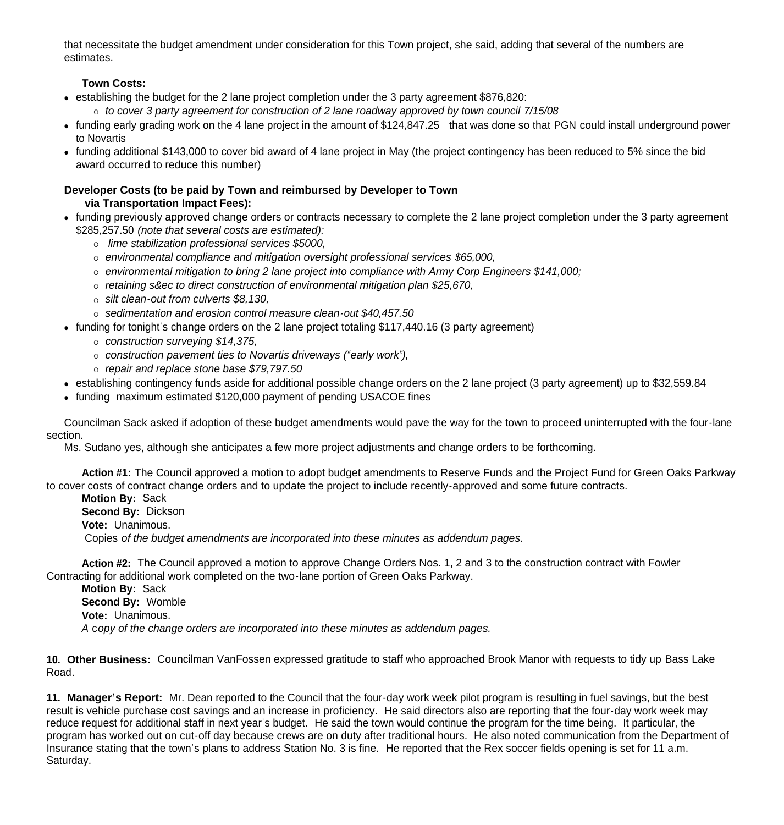that necessitate the budget amendment under consideration for this Town project, she said, adding that several of the numbers are estimates.

# **Town Costs:**

establishing the budget for the 2 lane project completion under the 3 party agreement \$876,820:

*to cover 3 party agreement for construction of 2 lane roadway approved by town council 7/15/08*

- funding early grading work on the 4 lane project in the amount of \$124,847.25 that was done so that PGN could install underground power to Novartis
- funding additional \$143,000 to cover bid award of 4 lane project in May (the project contingency has been reduced to 5% since the bid award occurred to reduce this number)

## **Developer Costs (to be paid by Town and reimbursed by Developer to Town via Transportation Impact Fees):**

- funding previously approved change orders or contracts necessary to complete the 2 lane project completion under the 3 party agreement \$285,257.50 *(note that several costs are estimated):* 
	- *lime stabilization professional services \$5000,*
	- *environmental compliance and mitigation oversight professional services \$65,000,*
	- *environmental mitigation to bring 2 lane project into compliance with Army Corp Engineers \$141,000;*
	- *retaining s&ec to direct construction of environmental mitigation plan \$25,670,*
	- *silt clean-out from culverts \$8,130,*
	- *sedimentation and erosion control measure clean-out \$40,457.50*
- funding for tonight's change orders on the 2 lane project totaling \$117,440.16 (3 party agreement)
	- *construction surveying \$14,375,*
	- *construction pavement ties to Novartis driveways ("early work"),*
	- *repair and replace stone base \$79,797.50*
- establishing contingency funds aside for additional possible change orders on the 2 lane project (3 party agreement) up to \$32,559.84
- funding maximum estimated \$120,000 payment of pending USACOE fines

Councilman Sack asked if adoption of these budget amendments would pave the way for the town to proceed uninterrupted with the four-lane section.

Ms. Sudano yes, although she anticipates a few more project adjustments and change orders to be forthcoming.

**Action #1:** The Council approved a motion to adopt budget amendments to Reserve Funds and the Project Fund for Green Oaks Parkway to cover costs of contract change orders and to update the project to include recently-approved and some future contracts.

**Motion By:** Sack **Second By:** Dickson **Vote:** Unanimous. Copies *of the budget amendments are incorporated into these minutes as addendum pages.*

**Action #2:** The Council approved a motion to approve Change Orders Nos. 1, 2 and 3 to the construction contract with Fowler Contracting for additional work completed on the two-lane portion of Green Oaks Parkway.

**Motion By:** Sack **Second By:** Womble **Vote:** Unanimous. *A* c*opy of the change orders are incorporated into these minutes as addendum pages.*

**10. Other Business:** Councilman VanFossen expressed gratitude to staff who approached Brook Manor with requests to tidy up Bass Lake Road.

**11. Manager's Report:** Mr. Dean reported to the Council that the four-day work week pilot program is resulting in fuel savings, but the best result is vehicle purchase cost savings and an increase in proficiency. He said directors also are reporting that the four-day work week may reduce request for additional staff in next year's budget. He said the town would continue the program for the time being. It particular, the program has worked out on cut-off day because crews are on duty after traditional hours. He also noted communication from the Department of Insurance stating that the town's plans to address Station No. 3 is fine. He reported that the Rex soccer fields opening is set for 11 a.m. Saturday.